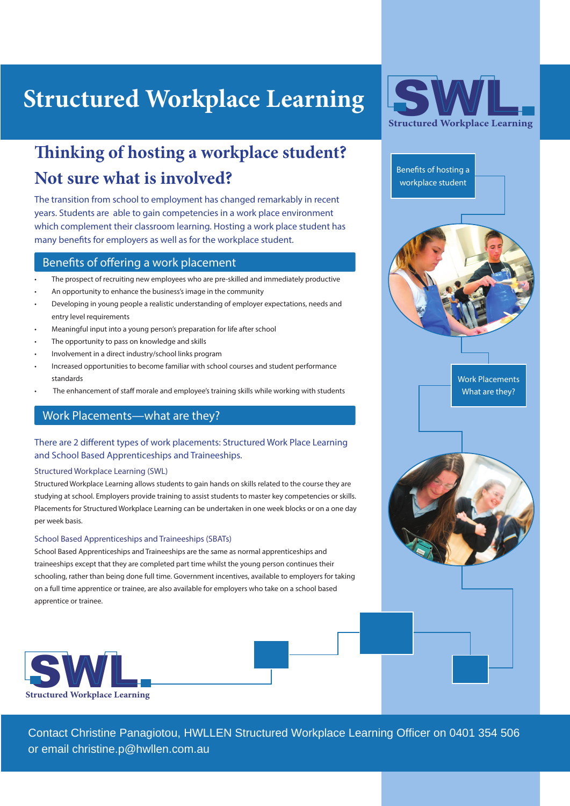# **Structured Workplace Learning**

## **Thinking of hosting a workplace student? Not sure what is involved?**

The transition from school to employment has changed remarkably in recent years. Students are able to gain competencies in a work place environment which complement their classroom learning. Hosting a work place student has many benefits for employers as well as for the workplace student.

## Benefits of offering a work placement

- The prospect of recruiting new employees who are pre-skilled and immediately productive
- An opportunity to enhance the business's image in the community
- Developing in young people a realistic understanding of employer expectations, needs and entry level requirements
- Meaningful input into a young person's preparation for life after school
- The opportunity to pass on knowledge and skills
- Involvement in a direct industry/school links program
- Increased opportunities to become familiar with school courses and student performance standards
- The enhancement of staff morale and employee's training skills while working with students

## Work Placements—what are they?

## There are 2 different types of work placements: Structured Work Place Learning and School Based Apprenticeships and Traineeships.

#### Structured Workplace Learning (SWL)

Structured Workplace Learning allows students to gain hands on skills related to the course they are studying at school. Employers provide training to assist students to master key competencies or skills. Placements for Structured Workplace Learning can be undertaken in one week blocks or on a one day per week basis.

#### School Based Apprenticeships and Traineeships (SBATs)

School Based Apprenticeships and Traineeships are the same as normal apprenticeships and traineeships except that they are completed part time whilst the young person continues their schooling, rather than being done full time. Government incentives, available to employers for taking on a full time apprentice or trainee, are also available for employers who take on a school based apprentice or trainee.





Benefits of hosting a workplace student Work Placements What are they?

Contact Christine Panagiotou, HWLLEN Structured Workplace Learning Officer on 0401 354 506 or email christine.p@hwllen.com.au